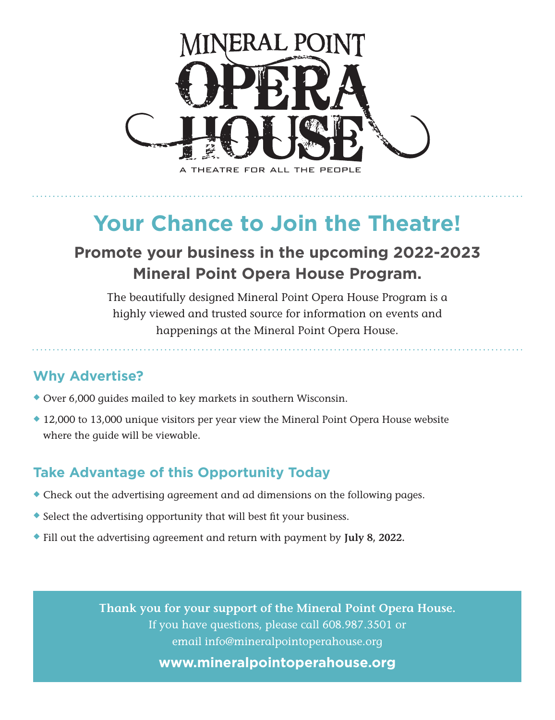

**Your Chance to Join the Theatre!**

## **Promote your business in the upcoming 2022-2023 Mineral Point Opera House Program.**

The beautifully designed Mineral Point Opera House Program is a highly viewed and trusted source for information on events and happenings at the Mineral Point Opera House.

### **Why Advertise?**

- $\blacklozenge$  Over 6,000 guides mailed to key markets in southern Wisconsin.
- $\triangle$  12,000 to 13,000 unique visitors per year view the Mineral Point Opera House website where the guide will be viewable.

### **Take Advantage of this Opportunity Today**

- $\bullet$  Check out the advertising agreement and ad dimensions on the following pages.
- $\bullet$  Select the advertising opportunity that will best fit your business.
- u Fill out the advertising agreement and return with payment by **July 8, 2022.**

**Thank you for your support of the Mineral Point Opera House.**  If you have questions, please call 608.987.3501 or email info@mineralpointoperahouse.org **www.mineralpointoperahouse.org**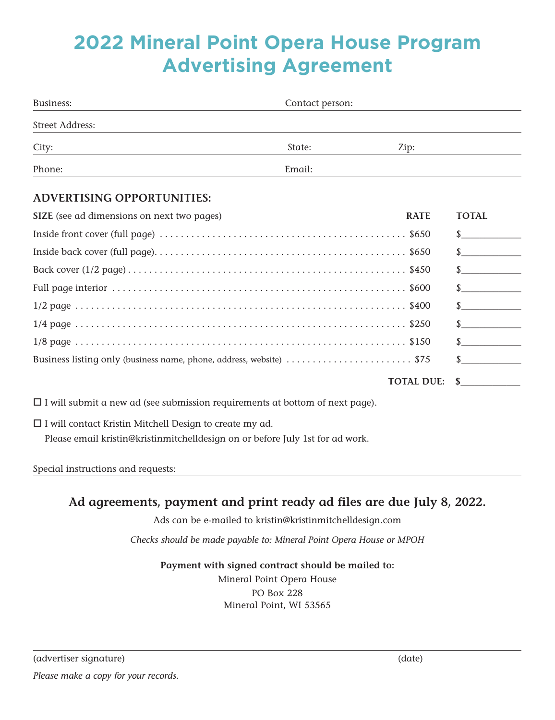# **2022 Mineral Point Opera House Program Advertising Agreement**

| Business:                                                                                                                                       | Contact person: |                   |                      |  |
|-------------------------------------------------------------------------------------------------------------------------------------------------|-----------------|-------------------|----------------------|--|
| <b>Street Address:</b>                                                                                                                          |                 |                   |                      |  |
| City:                                                                                                                                           | State:          | Zip:              |                      |  |
| Phone:                                                                                                                                          | Email:          |                   |                      |  |
| <b>ADVERTISING OPPORTUNITIES:</b>                                                                                                               |                 |                   |                      |  |
| SIZE (see ad dimensions on next two pages)                                                                                                      |                 | <b>RATE</b>       | <b>TOTAL</b>         |  |
|                                                                                                                                                 |                 |                   | $\mathbb{S}$         |  |
|                                                                                                                                                 |                 |                   | $\frac{\sqrt{2}}{2}$ |  |
|                                                                                                                                                 |                 |                   | $\frac{\sqrt{2}}{2}$ |  |
|                                                                                                                                                 |                 |                   | $\sim$ $\sim$        |  |
|                                                                                                                                                 |                 |                   | $\int$               |  |
|                                                                                                                                                 |                 |                   | $\sim$               |  |
|                                                                                                                                                 |                 |                   | $\frac{1}{2}$        |  |
| Business listing only (business name, phone, address, website) \$75                                                                             |                 |                   |                      |  |
|                                                                                                                                                 |                 | <b>TOTAL DUE:</b> | $\sim$               |  |
| $\Box$ I will submit a new ad (see submission requirements at bottom of next page).                                                             |                 |                   |                      |  |
| $\Box$ I will contact Kristin Mitchell Design to create my ad.<br>Please email kristin@kristinmitchelldesign on or before July 1st for ad work. |                 |                   |                      |  |
| Special instructions and requests:                                                                                                              |                 |                   |                      |  |

## **Ad agreements, payment and print ready ad files are due July 8, 2022.**

Ads can be e-mailed to kristin@kristinmitchelldesign.com

*Checks should be made payable to: Mineral Point Opera House or MPOH*

#### **Payment with signed contract should be mailed to:**

Mineral Point Opera House PO Box 228 Mineral Point, WI 53565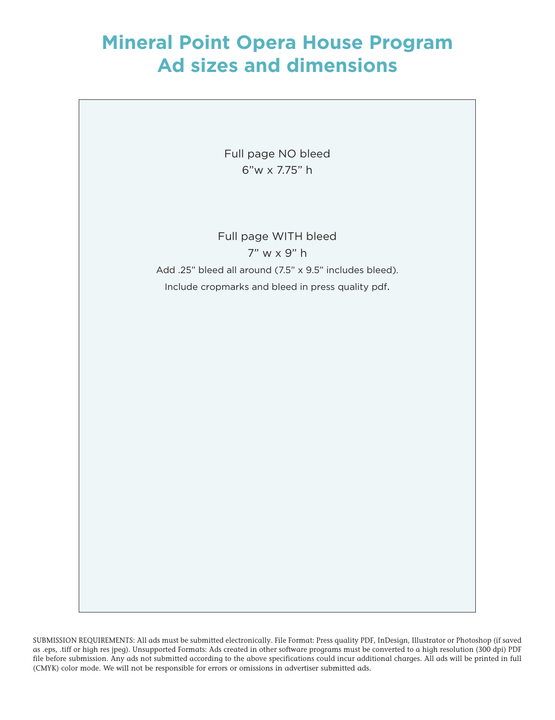# **Mineral Point Opera House Program Ad sizes and dimensions**

Full page NO bleed 6"w x 7.75" h

Full page WITH bleed 7" w x 9" h Add .25" bleed all around (7.5" x 9.5" includes bleed). Include cropmarks and bleed in press quality pdf.

SUBMISSION REQUIREMENTS: All ads must be submitted electronically. File Format: Press quality PDF, InDesign, Illustrator or Photoshop (if saved as .eps, .tiff or high res jpeg). Unsupported Formats: Ads created in other software programs must be converted to a high resolution (300 dpi) PDF file before submission. Any ads not submitted according to the above specifications could incur additional charges. All ads will be printed in full (CMYK) color mode. We will not be responsible for errors or omissions in advertiser submitted ads.